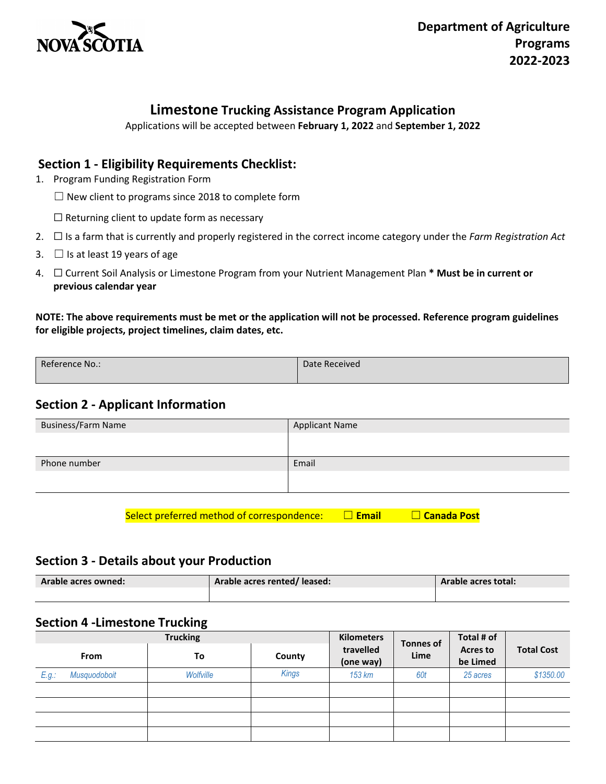

# **Limestone Trucking Assistance Program Application**

Applications will be accepted between **February 1, 2022** and **September 1, 2022**

## **Section 1 - Eligibility Requirements Checklist:**

- 1. Program Funding Registration Form
	- $\Box$  New client to programs since 2018 to complete form
	- ☐ Returning client to update form as necessary
- 2. ☐ Is a farm that is currently and properly registered in the correct income category under the *Farm Registration Act*
- 3.  $\Box$  Is at least 19 years of age
- 4. ☐ Current Soil Analysis or Limestone Program from your Nutrient Management Plan **\* Must be in current or previous calendar year**

**NOTE: The above requirements must be met or the application will not be processed. Reference program guidelines for eligible projects, project timelines, claim dates, etc.**

| Reference No.: | Date Received |
|----------------|---------------|
|                |               |
|                |               |
|                |               |

# **Section 2 - Applicant Information**

| <b>Business/Farm Name</b> | <b>Applicant Name</b> |
|---------------------------|-----------------------|
|                           |                       |
| Phone number              | Email                 |
|                           |                       |
|                           |                       |

Select preferred method of correspondence: □ **Email** □ Canada Post

#### **Section 3 - Details about your Production**

| Arable acres owned: | Arable acres rented/leased: | Arable acres total: |  |
|---------------------|-----------------------------|---------------------|--|
|                     |                             |                     |  |

## **Section 4 -Limestone Trucking**

|       |              | <b>Trucking</b> |              | <b>Kilometers</b>      | <b>Tonnes of</b><br>Lime | Total # of                  | <b>Total Cost</b> |
|-------|--------------|-----------------|--------------|------------------------|--------------------------|-----------------------------|-------------------|
|       | <b>From</b>  | To              | County       | travelled<br>(one way) |                          | <b>Acres to</b><br>be Limed |                   |
| E.g.: | Musquodoboit | Wolfville       | <b>Kings</b> | 153 km                 | 60t                      | 25 acres                    | \$1350.00         |
|       |              |                 |              |                        |                          |                             |                   |
|       |              |                 |              |                        |                          |                             |                   |
|       |              |                 |              |                        |                          |                             |                   |
|       |              |                 |              |                        |                          |                             |                   |